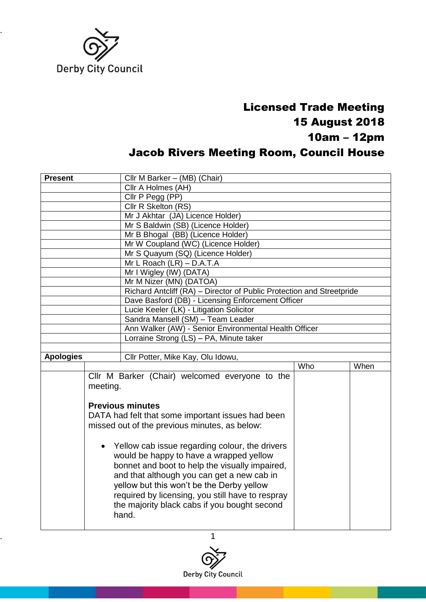

## Licensed Trade Meeting 15 August 2018 10am – 12pm Jacob Rivers Meeting Room, Council House

| <b>Present</b>                                                                                                                                                                              |          | Cllr M Barker - (MB) (Chair)                                          |     |      |  |
|---------------------------------------------------------------------------------------------------------------------------------------------------------------------------------------------|----------|-----------------------------------------------------------------------|-----|------|--|
|                                                                                                                                                                                             |          | Cllr A Holmes (AH)                                                    |     |      |  |
|                                                                                                                                                                                             |          | Cllr P Pegg (PP)                                                      |     |      |  |
|                                                                                                                                                                                             |          | Cllr R Skelton (RS)                                                   |     |      |  |
|                                                                                                                                                                                             |          | Mr J Akhtar (JA) Licence Holder)                                      |     |      |  |
|                                                                                                                                                                                             |          | Mr S Baldwin (SB) (Licence Holder)                                    |     |      |  |
|                                                                                                                                                                                             |          | Mr B Bhogal (BB) (Licence Holder)                                     |     |      |  |
|                                                                                                                                                                                             |          | Mr W Coupland (WC) (Licence Holder)                                   |     |      |  |
|                                                                                                                                                                                             |          | Mr S Quayum (SQ) (Licence Holder)                                     |     |      |  |
|                                                                                                                                                                                             |          | Mr L Roach (LR) - D.A.T.A                                             |     |      |  |
|                                                                                                                                                                                             |          | Mr I Wigley (IW) (DATA)                                               |     |      |  |
|                                                                                                                                                                                             |          | Mr M Nizer (MN) (DATOA)                                               |     |      |  |
|                                                                                                                                                                                             |          | Richard Antcliff (RA) - Director of Public Protection and Streetpride |     |      |  |
|                                                                                                                                                                                             |          | Dave Basford (DB) - Licensing Enforcement Officer                     |     |      |  |
|                                                                                                                                                                                             |          | Lucie Keeler (LK) - Litigation Solicitor                              |     |      |  |
|                                                                                                                                                                                             |          | Sandra Mansell (SM) - Team Leader                                     |     |      |  |
|                                                                                                                                                                                             |          | Ann Walker (AW) - Senior Environmental Health Officer                 |     |      |  |
|                                                                                                                                                                                             |          | Lorraine Strong (LS) - PA, Minute taker                               |     |      |  |
| <b>Apologies</b>                                                                                                                                                                            |          | Cllr Potter, Mike Kay, Olu Idowu,                                     |     |      |  |
|                                                                                                                                                                                             |          |                                                                       | Who | When |  |
|                                                                                                                                                                                             |          | Cllr M Barker (Chair) welcomed everyone to the                        |     |      |  |
|                                                                                                                                                                                             | meeting. |                                                                       |     |      |  |
|                                                                                                                                                                                             |          |                                                                       |     |      |  |
|                                                                                                                                                                                             |          | <b>Previous minutes</b>                                               |     |      |  |
|                                                                                                                                                                                             |          | DATA had felt that some important issues had been                     |     |      |  |
|                                                                                                                                                                                             |          | missed out of the previous minutes, as below:                         |     |      |  |
|                                                                                                                                                                                             |          |                                                                       |     |      |  |
| • Yellow cab issue regarding colour, the drivers<br>would be happy to have a wrapped yellow<br>bonnet and boot to help the visually impaired,<br>and that although you can get a new cab in |          |                                                                       |     |      |  |
|                                                                                                                                                                                             |          |                                                                       |     |      |  |
|                                                                                                                                                                                             |          |                                                                       |     |      |  |
|                                                                                                                                                                                             |          |                                                                       |     |      |  |
|                                                                                                                                                                                             |          |                                                                       |     |      |  |
|                                                                                                                                                                                             |          | yellow but this won't be the Derby yellow                             |     |      |  |
|                                                                                                                                                                                             |          | required by licensing, you still have to respray                      |     |      |  |
|                                                                                                                                                                                             |          | the majority black cabs if you bought second                          |     |      |  |
|                                                                                                                                                                                             |          | hand.                                                                 |     |      |  |
|                                                                                                                                                                                             |          |                                                                       |     |      |  |

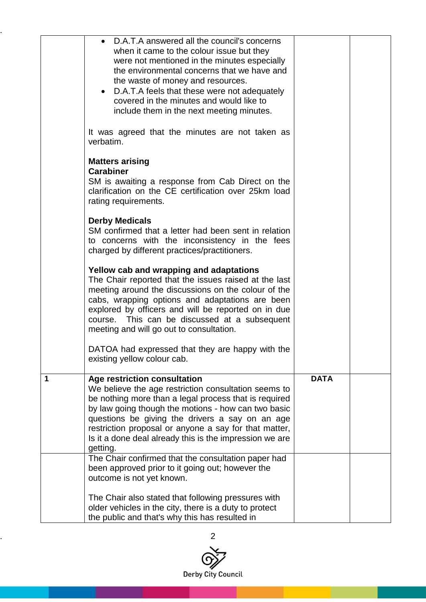|   | D.A.T.A answered all the council's concerns<br>when it came to the colour issue but they<br>were not mentioned in the minutes especially<br>the environmental concerns that we have and<br>the waste of money and resources.<br>D.A.T.A feels that these were not adequately<br>$\bullet$<br>covered in the minutes and would like to<br>include them in the next meeting minutes.<br>It was agreed that the minutes are not taken as<br>verbatim.<br><b>Matters arising</b><br><b>Carabiner</b><br>SM is awaiting a response from Cab Direct on the<br>clarification on the CE certification over 25km load<br>rating requirements.<br><b>Derby Medicals</b><br>SM confirmed that a letter had been sent in relation<br>to concerns with the inconsistency in the fees<br>charged by different practices/practitioners.<br>Yellow cab and wrapping and adaptations<br>The Chair reported that the issues raised at the last<br>meeting around the discussions on the colour of the<br>cabs, wrapping options and adaptations are been<br>explored by officers and will be reported on in due<br>course. This can be discussed at a subsequent<br>meeting and will go out to consultation.<br>DATOA had expressed that they are happy with the<br>existing yellow colour cab. |             |  |
|---|-------------------------------------------------------------------------------------------------------------------------------------------------------------------------------------------------------------------------------------------------------------------------------------------------------------------------------------------------------------------------------------------------------------------------------------------------------------------------------------------------------------------------------------------------------------------------------------------------------------------------------------------------------------------------------------------------------------------------------------------------------------------------------------------------------------------------------------------------------------------------------------------------------------------------------------------------------------------------------------------------------------------------------------------------------------------------------------------------------------------------------------------------------------------------------------------------------------------------------------------------------------------------------|-------------|--|
| 1 | Age restriction consultation<br>We believe the age restriction consultation seems to<br>be nothing more than a legal process that is required<br>by law going though the motions - how can two basic<br>questions be giving the drivers a say on an age<br>restriction proposal or anyone a say for that matter,<br>Is it a done deal already this is the impression we are<br>getting.                                                                                                                                                                                                                                                                                                                                                                                                                                                                                                                                                                                                                                                                                                                                                                                                                                                                                       | <b>DATA</b> |  |
|   | The Chair confirmed that the consultation paper had<br>been approved prior to it going out; however the<br>outcome is not yet known.<br>The Chair also stated that following pressures with<br>older vehicles in the city, there is a duty to protect<br>the public and that's why this has resulted in                                                                                                                                                                                                                                                                                                                                                                                                                                                                                                                                                                                                                                                                                                                                                                                                                                                                                                                                                                       |             |  |

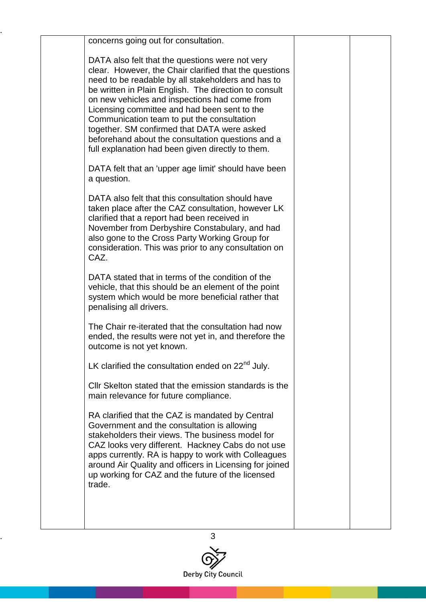| concerns going out for consultation.                                                                                                                                                                                                                                                                                                                                                                                                                                                                                             |  |
|----------------------------------------------------------------------------------------------------------------------------------------------------------------------------------------------------------------------------------------------------------------------------------------------------------------------------------------------------------------------------------------------------------------------------------------------------------------------------------------------------------------------------------|--|
| DATA also felt that the questions were not very<br>clear. However, the Chair clarified that the questions<br>need to be readable by all stakeholders and has to<br>be written in Plain English. The direction to consult<br>on new vehicles and inspections had come from<br>Licensing committee and had been sent to the<br>Communication team to put the consultation<br>together. SM confirmed that DATA were asked<br>beforehand about the consultation questions and a<br>full explanation had been given directly to them. |  |
| DATA felt that an 'upper age limit' should have been<br>a question.                                                                                                                                                                                                                                                                                                                                                                                                                                                              |  |
| DATA also felt that this consultation should have<br>taken place after the CAZ consultation, however LK<br>clarified that a report had been received in<br>November from Derbyshire Constabulary, and had<br>also gone to the Cross Party Working Group for<br>consideration. This was prior to any consultation on<br>CAZ.                                                                                                                                                                                                      |  |
| DATA stated that in terms of the condition of the<br>vehicle, that this should be an element of the point<br>system which would be more beneficial rather that<br>penalising all drivers.                                                                                                                                                                                                                                                                                                                                        |  |
| The Chair re-iterated that the consultation had now<br>ended, the results were not yet in, and therefore the<br>outcome is not yet known.                                                                                                                                                                                                                                                                                                                                                                                        |  |
| LK clarified the consultation ended on $22nd$ July.                                                                                                                                                                                                                                                                                                                                                                                                                                                                              |  |
| CIIr Skelton stated that the emission standards is the<br>main relevance for future compliance.                                                                                                                                                                                                                                                                                                                                                                                                                                  |  |
| RA clarified that the CAZ is mandated by Central<br>Government and the consultation is allowing<br>stakeholders their views. The business model for<br>CAZ looks very different. Hackney Cabs do not use<br>apps currently. RA is happy to work with Colleagues<br>around Air Quality and officers in Licensing for joined<br>up working for CAZ and the future of the licensed<br>trade.                                                                                                                                        |  |
|                                                                                                                                                                                                                                                                                                                                                                                                                                                                                                                                  |  |
|                                                                                                                                                                                                                                                                                                                                                                                                                                                                                                                                  |  |

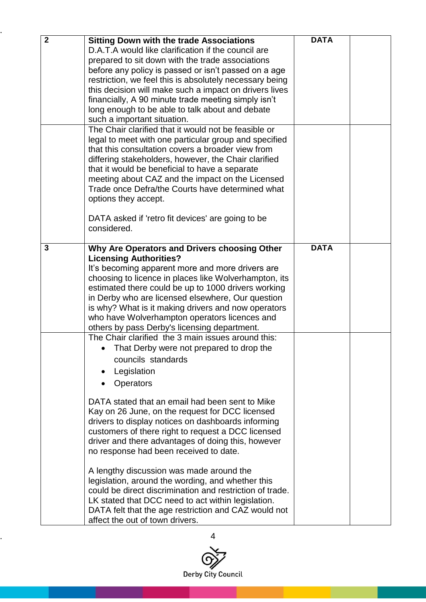| $\overline{2}$ | <b>Sitting Down with the trade Associations</b><br>D.A.T.A would like clarification if the council are<br>prepared to sit down with the trade associations<br>before any policy is passed or isn't passed on a age<br>restriction, we feel this is absolutely necessary being<br>this decision will make such a impact on drivers lives<br>financially, A 90 minute trade meeting simply isn't<br>long enough to be able to talk about and debate<br>such a important situation.                                                                                                                                                       | <b>DATA</b> |  |
|----------------|----------------------------------------------------------------------------------------------------------------------------------------------------------------------------------------------------------------------------------------------------------------------------------------------------------------------------------------------------------------------------------------------------------------------------------------------------------------------------------------------------------------------------------------------------------------------------------------------------------------------------------------|-------------|--|
|                | The Chair clarified that it would not be feasible or<br>legal to meet with one particular group and specified<br>that this consultation covers a broader view from<br>differing stakeholders, however, the Chair clarified<br>that it would be beneficial to have a separate<br>meeting about CAZ and the impact on the Licensed<br>Trade once Defra/the Courts have determined what<br>options they accept.<br>DATA asked if 'retro fit devices' are going to be                                                                                                                                                                      |             |  |
|                | considered.                                                                                                                                                                                                                                                                                                                                                                                                                                                                                                                                                                                                                            |             |  |
| 3              | Why Are Operators and Drivers choosing Other<br><b>Licensing Authorities?</b><br>It's becoming apparent more and more drivers are<br>choosing to licence in places like Wolverhampton, its<br>estimated there could be up to 1000 drivers working<br>in Derby who are licensed elsewhere, Our question<br>is why? What is it making drivers and now operators<br>who have Wolverhampton operators licences and<br>others by pass Derby's licensing department.<br>The Chair clarified the 3 main issues around this:<br>That Derby were not prepared to drop the<br>$\bullet$<br>councils standards<br>Legislation<br><b>Operators</b> | <b>DATA</b> |  |
|                | DATA stated that an email had been sent to Mike<br>Kay on 26 June, on the request for DCC licensed<br>drivers to display notices on dashboards informing<br>customers of there right to request a DCC licensed<br>driver and there advantages of doing this, however<br>no response had been received to date.<br>A lengthy discussion was made around the<br>legislation, around the wording, and whether this<br>could be direct discrimination and restriction of trade.<br>LK stated that DCC need to act within legislation.<br>DATA felt that the age restriction and CAZ would not<br>affect the out of town drivers.           |             |  |

..

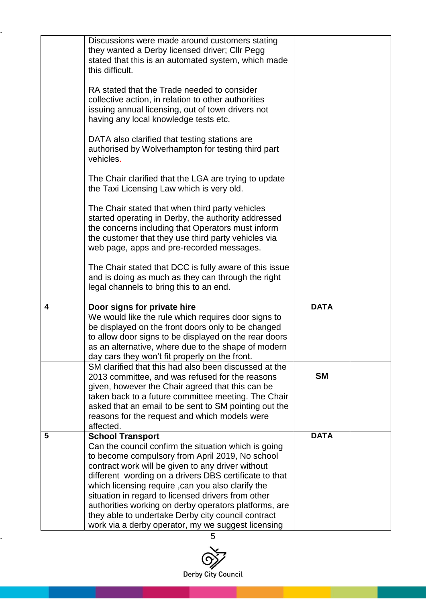|   | Discussions were made around customers stating<br>they wanted a Derby licensed driver; Cllr Pegg<br>stated that this is an automated system, which made<br>this difficult.                                                                                                                                                                 |             |  |
|---|--------------------------------------------------------------------------------------------------------------------------------------------------------------------------------------------------------------------------------------------------------------------------------------------------------------------------------------------|-------------|--|
|   | RA stated that the Trade needed to consider<br>collective action, in relation to other authorities<br>issuing annual licensing, out of town drivers not<br>having any local knowledge tests etc.                                                                                                                                           |             |  |
|   | DATA also clarified that testing stations are<br>authorised by Wolverhampton for testing third part<br>vehicles.                                                                                                                                                                                                                           |             |  |
|   | The Chair clarified that the LGA are trying to update<br>the Taxi Licensing Law which is very old.                                                                                                                                                                                                                                         |             |  |
|   | The Chair stated that when third party vehicles<br>started operating in Derby, the authority addressed<br>the concerns including that Operators must inform<br>the customer that they use third party vehicles via<br>web page, apps and pre-recorded messages.                                                                            |             |  |
|   | The Chair stated that DCC is fully aware of this issue<br>and is doing as much as they can through the right<br>legal channels to bring this to an end.                                                                                                                                                                                    |             |  |
| 4 | Door signs for private hire<br>We would like the rule which requires door signs to<br>be displayed on the front doors only to be changed<br>to allow door signs to be displayed on the rear doors<br>as an alternative, where due to the shape of modern<br>day cars they won't fit properly on the front.                                 | <b>DATA</b> |  |
|   | SM clarified that this had also been discussed at the<br>2013 committee, and was refused for the reasons<br>given, however the Chair agreed that this can be<br>taken back to a future committee meeting. The Chair<br>asked that an email to be sent to SM pointing out the<br>reasons for the request and which models were<br>affected. | <b>SM</b>   |  |
| 5 | <b>School Transport</b><br>Can the council confirm the situation which is going<br>to become compulsory from April 2019, No school<br>contract work will be given to any driver without<br>different wording on a drivers DBS certificate to that<br>which licensing require , can you also clarify the                                    | <b>DATA</b> |  |
|   | situation in regard to licensed drivers from other<br>authorities working on derby operators platforms, are<br>they able to undertake Derby city council contract<br>work via a derby operator, my we suggest licensing                                                                                                                    |             |  |

..

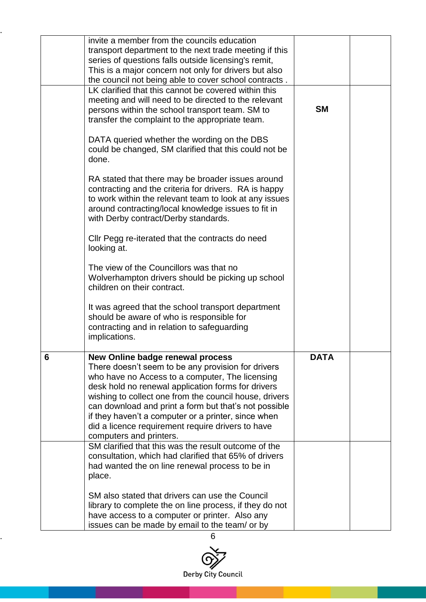|   | invite a member from the councils education<br>transport department to the next trade meeting if this<br>series of questions falls outside licensing's remit,<br>This is a major concern not only for drivers but also<br>the council not being able to cover school contracts.                                                                                                                                                                           |             |  |
|---|-----------------------------------------------------------------------------------------------------------------------------------------------------------------------------------------------------------------------------------------------------------------------------------------------------------------------------------------------------------------------------------------------------------------------------------------------------------|-------------|--|
|   | LK clarified that this cannot be covered within this<br>meeting and will need to be directed to the relevant<br>persons within the school transport team. SM to<br>transfer the complaint to the appropriate team.                                                                                                                                                                                                                                        | <b>SM</b>   |  |
|   | DATA queried whether the wording on the DBS<br>could be changed, SM clarified that this could not be<br>done.                                                                                                                                                                                                                                                                                                                                             |             |  |
|   | RA stated that there may be broader issues around<br>contracting and the criteria for drivers. RA is happy<br>to work within the relevant team to look at any issues<br>around contracting/local knowledge issues to fit in<br>with Derby contract/Derby standards.                                                                                                                                                                                       |             |  |
|   | Cllr Pegg re-iterated that the contracts do need<br>looking at.                                                                                                                                                                                                                                                                                                                                                                                           |             |  |
|   | The view of the Councillors was that no<br>Wolverhampton drivers should be picking up school<br>children on their contract.                                                                                                                                                                                                                                                                                                                               |             |  |
|   | It was agreed that the school transport department<br>should be aware of who is responsible for<br>contracting and in relation to safeguarding<br>implications.                                                                                                                                                                                                                                                                                           |             |  |
| 6 | New Online badge renewal process<br>There doesn't seem to be any provision for drivers<br>who have no Access to a computer, The licensing<br>desk hold no renewal application forms for drivers<br>wishing to collect one from the council house, drivers<br>can download and print a form but that's not possible<br>if they haven't a computer or a printer, since when<br>did a licence requirement require drivers to have<br>computers and printers. | <b>DATA</b> |  |
|   | SM clarified that this was the result outcome of the<br>consultation, which had clarified that 65% of drivers<br>had wanted the on line renewal process to be in<br>place.                                                                                                                                                                                                                                                                                |             |  |
|   | SM also stated that drivers can use the Council<br>library to complete the on line process, if they do not<br>have access to a computer or printer. Also any<br>issues can be made by email to the team/ or by                                                                                                                                                                                                                                            |             |  |

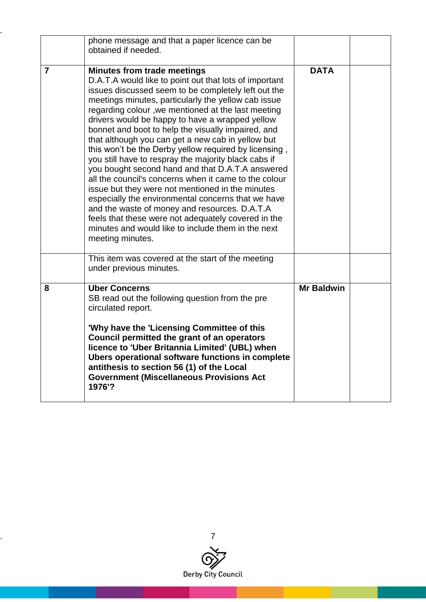|                | phone message and that a paper licence can be<br>obtained if needed.                                                                                                                                                                                                                                                                                                                                                                                                                                                                                                                                                                                                                                                                                                                                                                                                                                                                                     |                   |  |
|----------------|----------------------------------------------------------------------------------------------------------------------------------------------------------------------------------------------------------------------------------------------------------------------------------------------------------------------------------------------------------------------------------------------------------------------------------------------------------------------------------------------------------------------------------------------------------------------------------------------------------------------------------------------------------------------------------------------------------------------------------------------------------------------------------------------------------------------------------------------------------------------------------------------------------------------------------------------------------|-------------------|--|
| $\overline{7}$ | <b>Minutes from trade meetings</b><br>D.A.T.A would like to point out that lots of important<br>issues discussed seem to be completely left out the<br>meetings minutes, particularly the yellow cab issue<br>regarding colour, we mentioned at the last meeting<br>drivers would be happy to have a wrapped yellow<br>bonnet and boot to help the visually impaired, and<br>that although you can get a new cab in yellow but<br>this won't be the Derby yellow required by licensing,<br>you still have to respray the majority black cabs if<br>you bought second hand and that D.A.T.A answered<br>all the council's concerns when it came to the colour<br>issue but they were not mentioned in the minutes<br>especially the environmental concerns that we have<br>and the waste of money and resources. D.A.T.A<br>feels that these were not adequately covered in the<br>minutes and would like to include them in the next<br>meeting minutes. | <b>DATA</b>       |  |
|                | This item was covered at the start of the meeting<br>under previous minutes.                                                                                                                                                                                                                                                                                                                                                                                                                                                                                                                                                                                                                                                                                                                                                                                                                                                                             |                   |  |
| 8              | <b>Uber Concerns</b><br>SB read out the following question from the pre<br>circulated report.<br>'Why have the 'Licensing Committee of this<br>Council permitted the grant of an operators<br>licence to 'Uber Britannia Limited' (UBL) when<br>Ubers operational software functions in complete<br>antithesis to section 56 (1) of the Local<br><b>Government (Miscellaneous Provisions Act</b><br>1976'?                                                                                                                                                                                                                                                                                                                                                                                                                                                                                                                                               | <b>Mr Baldwin</b> |  |

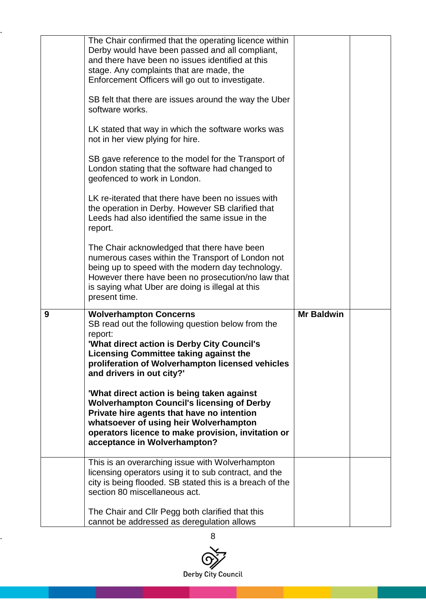|   | The Chair confirmed that the operating licence within<br>Derby would have been passed and all compliant,<br>and there have been no issues identified at this<br>stage. Any complaints that are made, the<br>Enforcement Officers will go out to investigate.                   |                   |  |
|---|--------------------------------------------------------------------------------------------------------------------------------------------------------------------------------------------------------------------------------------------------------------------------------|-------------------|--|
|   | SB felt that there are issues around the way the Uber<br>software works.                                                                                                                                                                                                       |                   |  |
|   | LK stated that way in which the software works was<br>not in her view plying for hire.                                                                                                                                                                                         |                   |  |
|   | SB gave reference to the model for the Transport of<br>London stating that the software had changed to<br>geofenced to work in London.                                                                                                                                         |                   |  |
|   | LK re-iterated that there have been no issues with<br>the operation in Derby. However SB clarified that<br>Leeds had also identified the same issue in the<br>report.                                                                                                          |                   |  |
|   | The Chair acknowledged that there have been<br>numerous cases within the Transport of London not<br>being up to speed with the modern day technology.<br>However there have been no prosecution/no law that                                                                    |                   |  |
|   | is saying what Uber are doing is illegal at this<br>present time.                                                                                                                                                                                                              |                   |  |
| 9 | <b>Wolverhampton Concerns</b><br>SB read out the following question below from the<br>report:<br>'What direct action is Derby City Council's<br><b>Licensing Committee taking against the</b><br>proliferation of Wolverhampton licensed vehicles<br>and drivers in out city?' | <b>Mr Baldwin</b> |  |
|   | 'What direct action is being taken against<br><b>Wolverhampton Council's licensing of Derby</b><br>Private hire agents that have no intention<br>whatsoever of using heir Wolverhampton<br>operators licence to make provision, invitation or<br>acceptance in Wolverhampton?  |                   |  |
|   | This is an overarching issue with Wolverhampton<br>licensing operators using it to sub contract, and the<br>city is being flooded. SB stated this is a breach of the<br>section 80 miscellaneous act.                                                                          |                   |  |